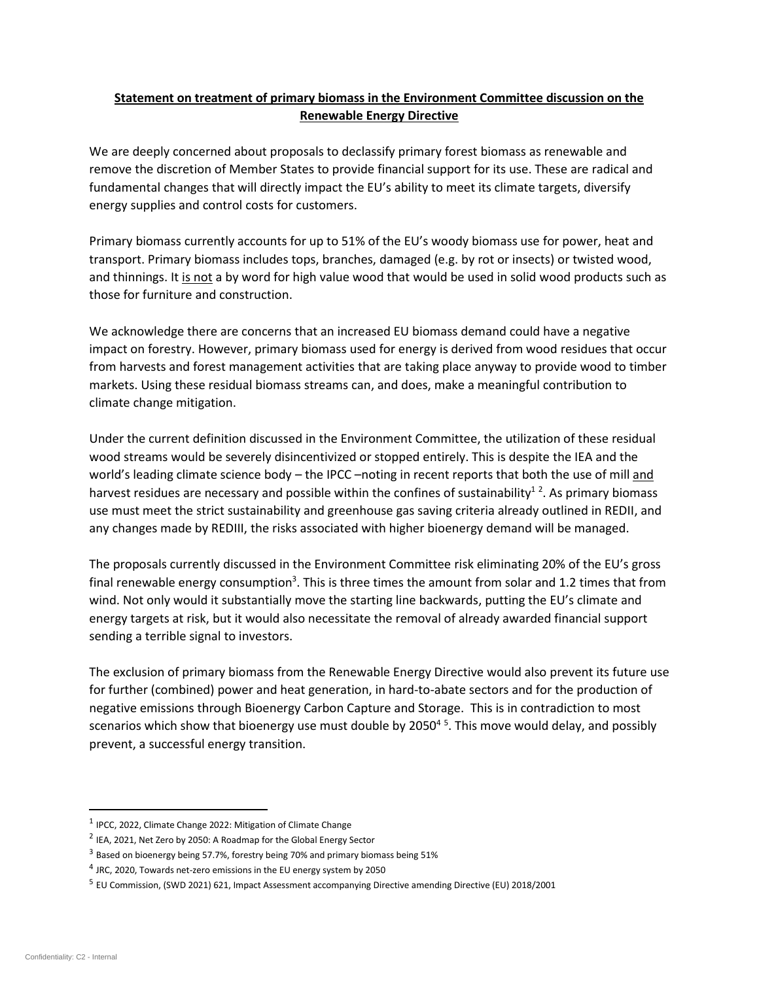## **Statement on treatment of primary biomass in the Environment Committee discussion on the Renewable Energy Directive**

We are deeply concerned about proposals to declassify primary forest biomass as renewable and remove the discretion of Member States to provide financial support for its use. These are radical and fundamental changes that will directly impact the EU's ability to meet its climate targets, diversify energy supplies and control costs for customers.

Primary biomass currently accounts for up to 51% of the EU's woody biomass use for power, heat and transport. Primary biomass includes tops, branches, damaged (e.g. by rot or insects) or twisted wood, and thinnings. It is not a by word for high value wood that would be used in solid wood products such as those for furniture and construction.

We acknowledge there are concerns that an increased EU biomass demand could have a negative impact on forestry. However, primary biomass used for energy is derived from wood residues that occur from harvests and forest management activities that are taking place anyway to provide wood to timber markets. Using these residual biomass streams can, and does, make a meaningful contribution to climate change mitigation.

Under the current definition discussed in the Environment Committee, the utilization of these residual wood streams would be severely disincentivized or stopped entirely. This is despite the IEA and the world's leading climate science body - the IPCC -noting in recent reports that both the use of mill and harvest residues are necessary and possible within the confines of sustainability<sup>12</sup>. As primary biomass use must meet the strict sustainability and greenhouse gas saving criteria already outlined in REDII, and any changes made by REDIII, the risks associated with higher bioenergy demand will be managed.

The proposals currently discussed in the Environment Committee risk eliminating 20% of the EU's gross final renewable energy consumption<sup>3</sup>. This is three times the amount from solar and 1.2 times that from wind. Not only would it substantially move the starting line backwards, putting the EU's climate and energy targets at risk, but it would also necessitate the removal of already awarded financial support sending a terrible signal to investors.

The exclusion of primary biomass from the Renewable Energy Directive would also prevent its future use for further (combined) power and heat generation, in hard-to-abate sectors and for the production of negative emissions through Bioenergy Carbon Capture and Storage. This is in contradiction to most scenarios which show that bioenergy use must double by 2050<sup>4 5</sup>. This move would delay, and possibly prevent, a successful energy transition.

<sup>&</sup>lt;sup>1</sup> IPCC, 2022, Climate Change 2022: Mitigation of Climate Change

 $2$  IEA, 2021, Net Zero by 2050: A Roadmap for the Global Energy Sector

<sup>&</sup>lt;sup>3</sup> Based on bioenergy being 57.7%, forestry being 70% and primary biomass being 51%

 $^{4}$  JRC, 2020, Towards net-zero emissions in the EU energy system by 2050

<sup>&</sup>lt;sup>5</sup> EU Commission, (SWD 2021) 621, Impact Assessment accompanying Directive amending Directive (EU) 2018/2001